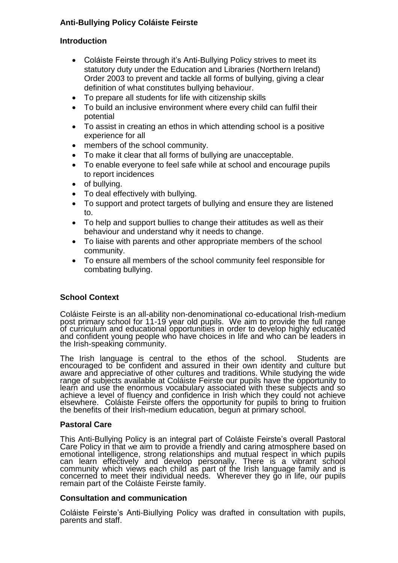# **Anti-Bullying Policy Coláiste Feirste**

### **Introduction**

- Coláiste Feirste through it's Anti-Bullying Policy strives to meet its statutory duty under the Education and Libraries (Northern Ireland) Order 2003 to prevent and tackle all forms of bullying, giving a clear definition of what constitutes bullying behaviour.
- To prepare all students for life with citizenship skills
- To build an inclusive environment where every child can fulfil their potential
- To assist in creating an ethos in which attending school is a positive experience for all
- members of the school community.
- To make it clear that all forms of bullying are unacceptable.
- To enable everyone to feel safe while at school and encourage pupils to report incidences
- of bullying.
- To deal effectively with bullying.
- To support and protect targets of bullying and ensure they are listened to.
- To help and support bullies to change their attitudes as well as their behaviour and understand why it needs to change.
- To liaise with parents and other appropriate members of the school community.
- To ensure all members of the school community feel responsible for combating bullying.

## **School Context**

Coláiste Feirste is an all-ability non-denominational co-educational Irish-medium post primary school for 11-19 year old pupils. We aim to provide the full range of curriculum and educational opportunities in order to develop highly educated and confident young people who have choices in life and who can be leaders in the Irish-speaking community.

The Irish language is central to the ethos of the school. Students are encouraged to be confident and assured in their own identity and culture but aware and appreciative of other cultures and traditions. While studying the wide range of subjects available at Coláiste Feirste our pupils have the opportunity to learn and use the enormous vocabulary associated with these subjects and so achieve a level of fluency and confidence in Irish which they could not achieve elsewhere. Coláiste Feirste offers the opportunity for pupils to bring to fruition the benefits of their Irish-medium education, begun at primary school.

#### **Pastoral Care**

This Anti-Bullying Policy is an integral part of Coláiste Feirste's overall Pastoral Care Policy in that we aim to provide a friendly and caring atmosphere based on emotional intelligence, strong relationships and mutual respect in which pupils can learn effectively and develop personally. There is a vibrant school community which views each child as part of the Irish language family and is concerned to meet their individual needs. Wherever they go in life, our pupils remain part of the Coláiste Feirste family.

#### **Consultation and communication**

Coláiste Feirste's Anti-Biullying Policy was drafted in consultation with pupils, parents and staff.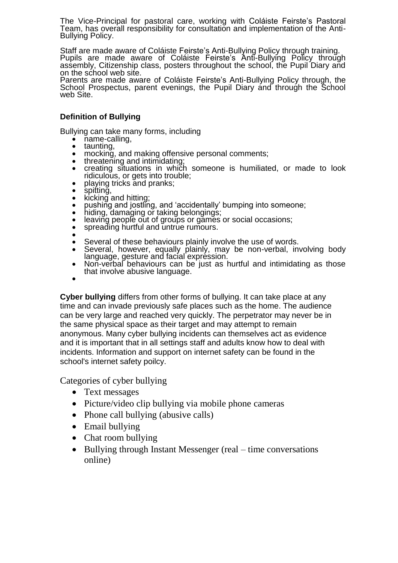The Vice-Principal for pastoral care, working with Coláiste Feirste's Pastoral Team, has overall responsibility for consultation and implementation of the Anti-Bullying Policy.

Staff are made aware of Coláiste Feirste's Anti-Bullying Policy through training. Pupils are made aware of Coláiste Feirste's Anti-Bullying Policy through assembly, Citizenship class, posters throughout the school, the Pupil Diary and on the school web site.

Parents are made aware of Coláiste Feirste's Anti-Bullying Policy through, the School Prospectus, parent evenings, the Pupil Diary and through the School web Site.

### **Definition of Bullying**

Bullying can take many forms, including

- name-calling,
- taunting,
- mocking, and making offensive personal comments;
- threatening and intimidating; creating situations in which someone is humiliated, or made to look ridiculous, or gets into trouble;
- playing tricks and pranks;
- spitting,
- kicking and hitting;
- pushing and jostling, and 'accidentally' bumping into someone;
- hiding, damaging or taking belongings;
- leaving people out of groups or games or social occasions;
- spreading hurtful and untrue rumours.
- $\bullet$
- Several of these behaviours plainly involve the use of words.
- Several, however, equally plainly, may be non-verbal, involving body language, gesture and facial expression.
- Non-verbal behaviours can be just as hurtful and intimidating as those that involve abusive language.
- $\bullet$

**Cyber bullying** differs from other forms of bullying. It can take place at any time and can invade previously safe places such as the home. The audience can be very large and reached very quickly. The perpetrator may never be in the same physical space as their target and may attempt to remain anonymous. Many cyber bullying incidents can themselves act as evidence and it is important that in all settings staff and adults know how to deal with incidents. Information and support on internet safety can be found in the school's internet safety poilcy.

Categories of cyber bullying

- Text messages
- Picture/video clip bullying via mobile phone cameras
- Phone call bullying (abusive calls)
- Email bullying
- Chat room bullying
- Bullying through Instant Messenger (real time conversations online)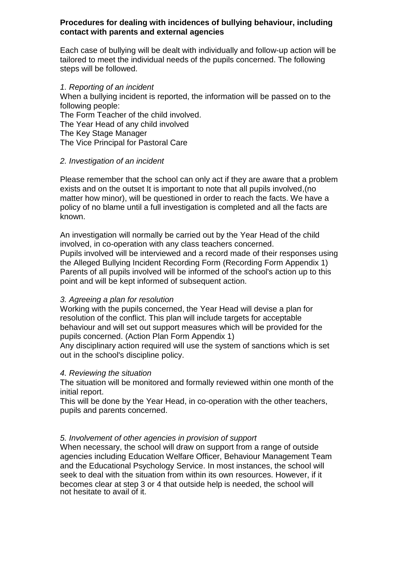#### **Procedures for dealing with incidences of bullying behaviour, including contact with parents and external agencies**

Each case of bullying will be dealt with individually and follow-up action will be tailored to meet the individual needs of the pupils concerned. The following steps will be followed.

#### *1. Reporting of an incident*

When a bullying incident is reported, the information will be passed on to the following people:

The Form Teacher of the child involved.

The Year Head of any child involved

The Key Stage Manager

The Vice Principal for Pastoral Care

#### *2. Investigation of an incident*

Please remember that the school can only act if they are aware that a problem exists and on the outset It is important to note that all pupils involved,(no matter how minor), will be questioned in order to reach the facts. We have a policy of no blame until a full investigation is completed and all the facts are known.

An investigation will normally be carried out by the Year Head of the child involved, in co-operation with any class teachers concerned. Pupils involved will be interviewed and a record made of their responses using the Alleged Bullying Incident Recording Form (Recording Form Appendix 1) Parents of all pupils involved will be informed of the school's action up to this point and will be kept informed of subsequent action.

#### *3. Agreeing a plan for resolution*

Working with the pupils concerned, the Year Head will devise a plan for resolution of the conflict. This plan will include targets for acceptable behaviour and will set out support measures which will be provided for the pupils concerned. (Action Plan Form Appendix 1)

Any disciplinary action required will use the system of sanctions which is set out in the school's discipline policy.

#### *4. Reviewing the situation*

The situation will be monitored and formally reviewed within one month of the initial report.

This will be done by the Year Head, in co-operation with the other teachers, pupils and parents concerned.

## *5. Involvement of other agencies in provision of support*

When necessary, the school will draw on support from a range of outside agencies including Education Welfare Officer, Behaviour Management Team and the Educational Psychology Service. In most instances, the school will seek to deal with the situation from within its own resources. However, if it becomes clear at step 3 or 4 that outside help is needed, the school will not hesitate to avail of it.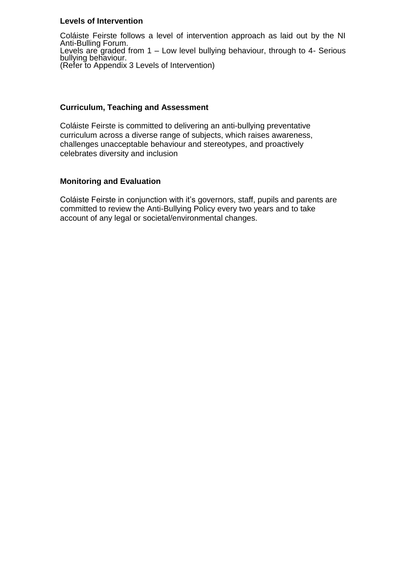#### **Levels of Intervention**

Coláiste Feirste follows a level of intervention approach as laid out by the NI Anti-Bulling Forum. Levels are graded from 1 – Low level bullying behaviour, through to 4- Serious bullying behaviour. (Refer to Appendix 3 Levels of Intervention)

### **Curriculum, Teaching and Assessment**

Coláiste Feirste is committed to delivering an anti-bullying preventative curriculum across a diverse range of subjects, which raises awareness, challenges unacceptable behaviour and stereotypes, and proactively celebrates diversity and inclusion

#### **Monitoring and Evaluation**

Coláiste Feirste in conjunction with it's governors, staff, pupils and parents are committed to review the Anti-Bullying Policy every two years and to take account of any legal or societal/environmental changes.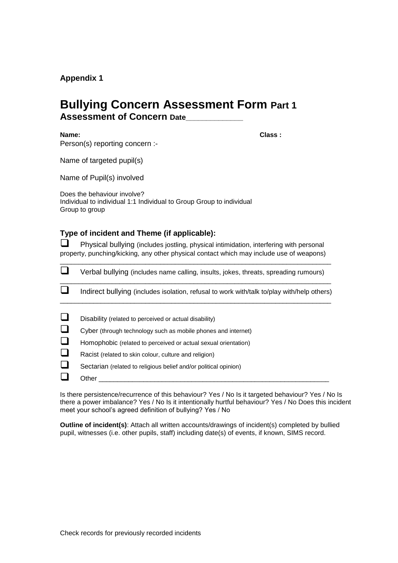#### **Appendix 1**

# **Bullying Concern Assessment Form Part 1 Assessment of Concern Date\_\_\_\_\_\_\_\_\_\_\_\_\_\_**

**Name: Class :**

Person(s) reporting concern :-

Name of targeted pupil(s)

Name of Pupil(s) involved

Does the behaviour involve? Individual to individual 1:1 Individual to Group Group to individual Group to group

#### **Type of incident and Theme (if applicable):**

 $\Box$  Physical bullying (includes jostling, physical intimidation, interfering with personal property, punching/kicking, any other physical contact which may include use of weapons)

\_\_\_\_\_\_\_\_\_\_\_\_\_\_\_\_\_\_\_\_\_\_\_\_\_\_\_\_\_\_\_\_\_\_\_\_\_\_\_\_\_\_\_\_\_\_\_\_\_\_\_\_\_\_\_\_\_\_\_\_\_\_\_\_\_\_\_\_\_\_\_\_\_

|          | Verbal bullying (includes name calling, insults, jokes, threats, spreading rumours)        |  |  |  |
|----------|--------------------------------------------------------------------------------------------|--|--|--|
|          | Indirect bullying (includes isolation, refusal to work with/talk to/play with/help others) |  |  |  |
| $\sqcup$ | Disability (related to perceived or actual disability)                                     |  |  |  |
| $\Box$   | Cyber (through technology such as mobile phones and internet)                              |  |  |  |
| $\Box$   | Homophobic (related to perceived or actual sexual orientation)                             |  |  |  |
| $\Box$   | Racist (related to skin colour, culture and religion)                                      |  |  |  |
| ❏        | Sectarian (related to religious belief and/or political opinion)                           |  |  |  |
|          | Other                                                                                      |  |  |  |

Is there persistence/recurrence of this behaviour? Yes / No Is it targeted behaviour? Yes / No Is there a power imbalance? Yes / No Is it intentionally hurtful behaviour? Yes / No Does this incident meet your school's agreed definition of bullying? Yes / No

**Outline of incident(s)**: Attach all written accounts/drawings of incident(s) completed by bullied pupil, witnesses (i.e. other pupils, staff) including date(s) of events, if known, SIMS record.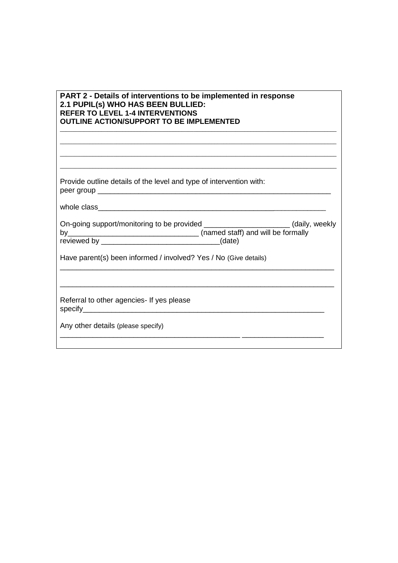| PART 2 - Details of interventions to be implemented in response |
|-----------------------------------------------------------------|
| 2.1 PUPIL(s) WHO HAS BEEN BULLIED:                              |
| <b>REFER TO LEVEL 1-4 INTERVENTIONS</b>                         |
| <b>OUTLINE ACTION/SUPPORT TO BE IMPLEMENTED</b>                 |

Provide outline details of the level and type of intervention with: peer group \_\_\_\_\_\_\_\_\_\_\_\_\_\_\_\_\_\_\_\_\_\_\_\_\_\_\_\_\_\_\_\_\_\_\_\_\_\_\_\_\_\_\_\_\_\_\_\_\_\_\_\_\_\_\_\_\_

whole class\_\_\_\_\_\_\_\_\_\_\_\_\_\_\_\_\_\_\_\_\_\_\_\_\_\_\_\_\_\_\_\_\_\_\_\_\_\_\_\_\_\_\_\_\_\_\_\_\_\_\_\_\_\_\_\_\_

| On-going support/monitoring to be provided |                                    | (daily, weekly |
|--------------------------------------------|------------------------------------|----------------|
| bv                                         | (named staff) and will be formally |                |
| reviewed by                                | (date)                             |                |

\_\_\_\_\_\_\_\_\_\_\_\_\_\_\_\_\_\_\_\_\_\_\_\_\_\_\_\_\_\_\_\_\_\_\_\_\_\_\_\_\_\_\_\_\_\_\_\_\_\_\_\_\_\_\_\_\_\_\_\_\_\_\_\_\_\_\_

\_\_\_\_\_\_\_\_\_\_\_\_\_\_\_\_\_\_\_\_\_\_\_\_\_\_\_\_\_\_\_\_\_\_\_\_\_\_\_\_\_\_\_\_\_\_\_\_\_\_\_\_\_\_\_\_\_\_\_\_\_\_\_\_\_\_\_

 $\_$  ,  $\_$  ,  $\_$  ,  $\_$  ,  $\_$  ,  $\_$  ,  $\_$  ,  $\_$  ,  $\_$  ,  $\_$  ,  $\_$  ,  $\_$  ,  $\_$  ,  $\_$  ,  $\_$  ,  $\_$  ,  $\_$  ,  $\_$  ,  $\_$  ,  $\_$  $\_$  ,  $\_$  ,  $\_$  ,  $\_$  ,  $\_$  ,  $\_$  ,  $\_$  ,  $\_$  ,  $\_$  ,  $\_$  ,  $\_$  ,  $\_$  ,  $\_$  ,  $\_$  ,  $\_$  ,  $\_$  ,  $\_$  ,  $\_$  ,  $\_$  ,  $\_$  ,  $\_$  ,  $\_$  ,  $\_$  ,  $\_$  ,  $\_$  ,  $\_$  ,  $\_$  ,  $\_$  ,  $\_$  ,  $\_$  ,  $\_$  ,  $\_$  ,  $\_$  ,  $\_$  ,  $\_$  ,  $\_$  ,  $\_$  ,  $\_$  ,  $\_$  ,  $\_$  ,  $\_$  ,  $\_$  ,  $\_$  ,  $\_$  ,  $\_$  ,  $\_$  ,  $\_$  ,  $\_$  ,  $\_$  ,  $\_$  ,  $\_$  ,  $\_$  ,  $\_$  ,  $\_$  ,  $\_$  ,  $\_$  ,  $\_$  $\_$  ,  $\_$  ,  $\_$  ,  $\_$  ,  $\_$  ,  $\_$  ,  $\_$  ,  $\_$  ,  $\_$  ,  $\_$  ,  $\_$  ,  $\_$  ,  $\_$  ,  $\_$  ,  $\_$  ,  $\_$  ,  $\_$  ,  $\_$  ,  $\_$  ,  $\_$ 

Have parent(s) been informed / involved? Yes / No (Give details)

Referral to other agencies- If yes please specify\_\_\_\_\_\_\_\_\_\_\_\_\_\_\_\_\_\_\_\_\_\_\_\_\_\_\_\_\_\_\_\_\_\_\_\_\_\_\_\_\_\_\_\_\_\_\_\_\_\_\_\_\_\_\_\_\_\_\_

Any other details (please specify) \_\_\_\_\_\_\_\_\_\_\_\_\_\_\_\_\_\_\_\_\_\_\_\_\_\_\_\_\_\_\_\_\_\_\_\_\_\_\_\_\_\_\_\_ \_\_\_\_\_\_\_\_\_\_\_\_\_\_\_\_\_\_\_\_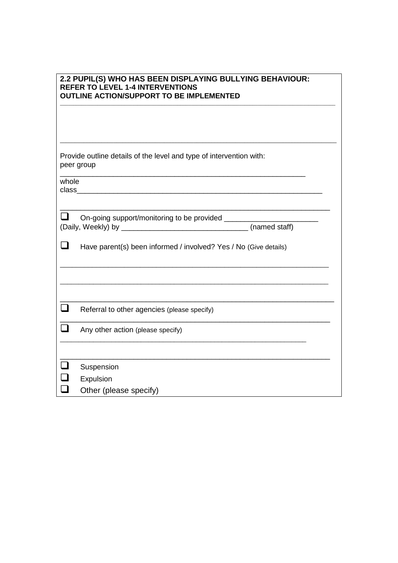| 2.2 PUPIL(S) WHO HAS BEEN DISPLAYING BULLYING BEHAVIOUR: |
|----------------------------------------------------------|
| <b>REFER TO LEVEL 1-4 INTERVENTIONS</b>                  |
| <b>OUTLINE ACTION/SUPPORT TO BE IMPLEMENTED</b>          |

\_\_\_\_\_\_\_\_\_\_\_\_\_\_\_\_\_\_\_\_\_\_\_\_\_\_\_\_\_\_\_\_\_\_\_\_\_\_\_\_\_\_\_\_\_\_\_\_\_\_\_\_\_\_\_\_\_\_\_\_\_\_\_\_\_\_\_\_\_\_\_\_\_\_\_\_\_\_\_\_\_\_\_\_\_\_\_\_\_\_\_\_\_\_\_\_\_\_\_\_\_\_\_

|       | Provide outline details of the level and type of intervention with:<br>peer group                                      |
|-------|------------------------------------------------------------------------------------------------------------------------|
| whole | <u> 1989 - Johann Barn, mars ann an t-Amhainn an t-Amhainn an t-Amhainn an t-Amhainn an t-Amhainn an t-Amhainn an </u> |
|       | (named staff)                                                                                                          |
|       | Have parent(s) been informed / involved? Yes / No (Give details)                                                       |
|       |                                                                                                                        |
|       | Referral to other agencies (please specify)                                                                            |
|       | Any other action (please specify)                                                                                      |
|       | Suspension                                                                                                             |
|       | Expulsion                                                                                                              |
|       | Other (please specify)                                                                                                 |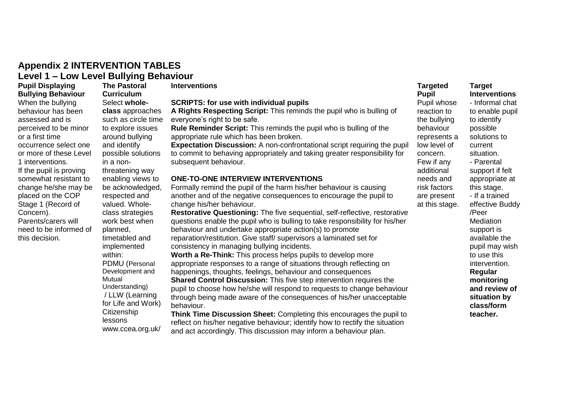# **Appendix 2 INTERVENTION TABLES Level 1 – Low Level Bullying Behaviour**

**Pupil Displaying Bullying Behaviour**  When the bullying behaviour has been assessed and is perceived to be minor or a first time occurrence select one or more of these Level 1 interventions. If the pupil is proving somewhat resistant to change he/she may be placed on the COP Stage 1 (Record of Concern). Parents/carers will need to be informed of this decision.

**The Pastoral Curriculum**  Select **wholeclass** approaches such as circle time to explore issues around bullying and identify possible solutions in a nonthreatening way enabling views to be acknowledged, respected and valued. Wholeclass strategies work best when planned, timetabled and implemented within: PDMU (Personal Development and **Mutual** Understanding) / LLW (Learning for Life and Work) **Citizenship** lessons www.ccea.org.uk/

#### **SCRIPTS: for use with individual pupils A Rights Respecting Script:** This reminds the pupil who is bulling of everyone's right to be safe. **Rule Reminder Script:** This reminds the pupil who is bulling of the appropriate rule which has been broken. **Expectation Discussion:** A non-confrontational script requiring the pupil to commit to behaving appropriately and taking greater responsibility for subsequent behaviour. **ONE-TO-ONE INTERVIEW INTERVENTIONS**  Formally remind the pupil of the harm his/her behaviour is causing another and of the negative consequences to encourage the pupil to change his/her behaviour. **Restorative Questioning:** The five sequential, self-reflective, restorative questions enable the pupil who is bulling to take responsibility for his/her behaviour and undertake appropriate action(s) to promote reparation/restitution. Give staff/ supervisors a laminated set for consistency in managing bullying incidents. **Worth a Re-Think:** This process helps pupils to develop more appropriate responses to a range of situations through reflecting on happenings, thoughts, feelings, behaviour and consequences **Shared Control Discussion:** This five step intervention requires the pupil to choose how he/she will respond to requests to change behaviour through being made aware of the consequences of his/her unacceptable behaviour. **Think Time Discussion Sheet:** Completing this encourages the pupil to

**Interventions Targeted** 

reflect on his/her negative behaviour; identify how to rectify the situation and act accordingly. This discussion may inform a behaviour plan.

#### **Target Interventions**  Pupil whose reaction to the bullying represents a low level of risk factors are present at this stage. - Informal chat to enable pupil to identify possible solutions to current situation. - Parental support if felt appropriate at this stage. - If a trained effective Buddy /Peer Mediation support is available the pupil may wish to use this intervention. **Regular monitoring and review of situation by class/form teacher.**

**Pupil** 

behaviour

concern. Few if any additional needs and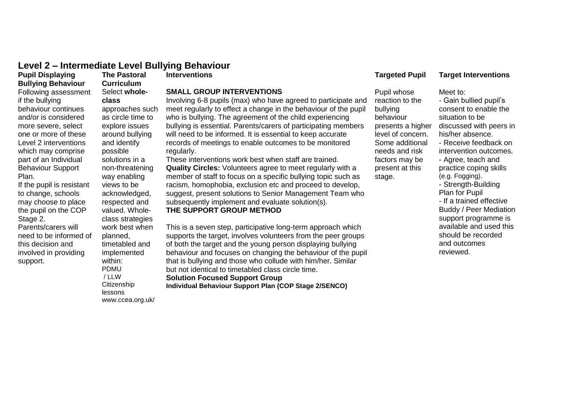#### **Level 2 – Intermediate Level Bullying Behaviour**

#### **Pupil Displaying Bullying Behaviour**

Following assessment if the bullying behaviour continues and/or is considered more severe, select one or more of these Level 2 interventions which may comprise part of an Individual Behaviour Support Plan.

If the pupil is resistant to change, schools may choose to place the pupil on the COP Stage 2.

Parents/carers will need to be informed of this decision and involved in providing support.

**The Pastoral Curriculum**  Select **wholeclass**  approaches such as circle time to explore issues around bullying and identify possible solutions in a non-threatening way enabling views to be acknowledged, respected and valued. Wholeclass strategies work best when planned, timetabled and implemented within: PDMU / LLW **Citizenship** lessons www.ccea.org.uk/

#### **SMALL GROUP INTERVENTIONS**

Involving 6-8 pupils (max) who have agreed to participate and meet regularly to effect a change in the behaviour of the pupil who is bullying. The agreement of the child experiencing bullying is essential. Parents/carers of participating members will need to be informed. It is essential to keep accurate records of meetings to enable outcomes to be monitored regularly.

These interventions work best when staff are trained. **Quality Circles:** Volunteers agree to meet regularly with a member of staff to focus on a specific bullying topic such as racism, homophobia, exclusion etc and proceed to develop, suggest, present solutions to Senior Management Team who subsequently implement and evaluate solution(s). **THE SUPPORT GROUP METHOD** 

This is a seven step, participative long-term approach which supports the target, involves volunteers from the peer groups of both the target and the young person displaying bullying behaviour and focuses on changing the behaviour of the pupil that is bullying and those who collude with him/her. Similar but not identical to timetabled class circle time.

#### **Solution Focused Support Group**

**Individual Behaviour Support Plan (COP Stage 2/SENCO)** 

#### **Interventions Targeted Pupil Target Interventions**

Meet to:

Pupil whose reaction to the bullying behaviour presents a higher level of concern. Some additional needs and risk factors may be present at this stage.

- Gain bullied pupil's consent to enable the situation to be discussed with peers in his/her absence. - Receive feedback on intervention outcomes. - Agree, teach and practice coping skills (e.g. Fogging). - Strength-Building Plan for Pupil - If a trained effective Buddy / Peer Mediation support programme is available and used this should be recorded and outcomes reviewed.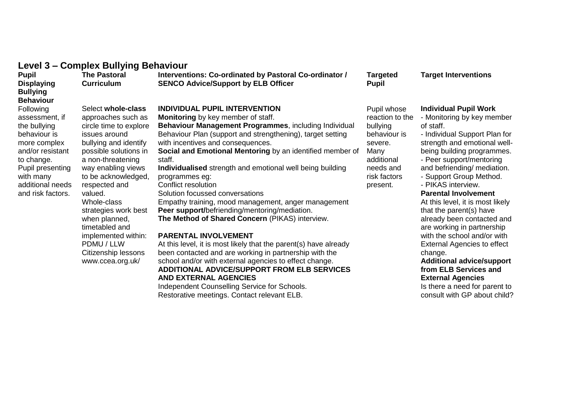| Level 3 – Complex Bullying Behaviour |  |  |
|--------------------------------------|--|--|
|--------------------------------------|--|--|

| <b>Pupil</b><br><b>Displaying</b><br><b>Bullying</b>                                                                                                                                                               | <b>The Pastoral</b><br><b>Curriculum</b>                                                                                                                                                                                                                                                                                                                                                      | Interventions: Co-ordinated by Pastoral Co-ordinator /<br><b>SENCO Advice/Support by ELB Officer</b>                                                                                                                                                                                                                                                                                                                                                                                                                                                                                                                                                                                                                                                                                                                                                                                                  | <b>Targeted</b><br><b>Pupil</b>                                                                                                      | <b>Target Interventions</b>                                                                                                                                                                                                                                                                                                                                                                                                                                                                                      |
|--------------------------------------------------------------------------------------------------------------------------------------------------------------------------------------------------------------------|-----------------------------------------------------------------------------------------------------------------------------------------------------------------------------------------------------------------------------------------------------------------------------------------------------------------------------------------------------------------------------------------------|-------------------------------------------------------------------------------------------------------------------------------------------------------------------------------------------------------------------------------------------------------------------------------------------------------------------------------------------------------------------------------------------------------------------------------------------------------------------------------------------------------------------------------------------------------------------------------------------------------------------------------------------------------------------------------------------------------------------------------------------------------------------------------------------------------------------------------------------------------------------------------------------------------|--------------------------------------------------------------------------------------------------------------------------------------|------------------------------------------------------------------------------------------------------------------------------------------------------------------------------------------------------------------------------------------------------------------------------------------------------------------------------------------------------------------------------------------------------------------------------------------------------------------------------------------------------------------|
| <b>Behaviour</b><br><b>Following</b><br>assessment, if<br>the bullying<br>behaviour is<br>more complex<br>and/or resistant<br>to change.<br>Pupil presenting<br>with many<br>additional needs<br>and risk factors. | Select whole-class<br>approaches such as<br>circle time to explore<br>issues around<br>bullying and identify<br>possible solutions in<br>a non-threatening<br>way enabling views<br>to be acknowledged,<br>respected and<br>valued.<br>Whole-class<br>strategies work best<br>when planned,<br>timetabled and<br>implemented within:<br>PDMU / LLW<br>Citizenship lessons<br>www.ccea.org.uk/ | <b>INDIVIDUAL PUPIL INTERVENTION</b><br><b>Monitoring</b> by key member of staff.<br>Behaviour Management Programmes, including Individual<br>Behaviour Plan (support and strengthening), target setting<br>with incentives and consequences.<br>Social and Emotional Mentoring by an identified member of<br>staff.<br>Individualised strength and emotional well being building<br>programmes eg:<br>Conflict resolution<br>Solution focussed conversations<br>Empathy training, mood management, anger management<br><b>Peer support/befriending/mentoring/mediation.</b><br>The Method of Shared Concern (PIKAS) interview.<br>PARENTAL INVOLVEMENT<br>At this level, it is most likely that the parent(s) have already<br>been contacted and are working in partnership with the<br>school and/or with external agencies to effect change.<br><b>ADDITIONAL ADVICE/SUPPORT FROM ELB SERVICES</b> | Pupil whose<br>reaction to the<br>bullying<br>behaviour is<br>severe.<br>Many<br>additional<br>needs and<br>risk factors<br>present. | <b>Individual Pupil Worl</b><br>- Monitoring by key me<br>of staff.<br>- Individual Support PI<br>strength and emotiona<br>being building progran<br>- Peer support/mentor<br>and befriending/ media<br>- Support Group Meth<br>- PIKAS interview.<br><b>Parental Involvemen</b><br>At this level, it is most<br>that the parent(s) have<br>already been contacte<br>are working in partner<br>with the school and/or<br>External Agencies to e<br>change.<br><b>Additional advice/su</b><br>from ELB Services a |

#### **AND EXTERNAL AGENCIES**

Independent Counselling Service for Schools. Restorative meetings. Contact relevant ELB.

#### **Individual Pupil Work**

onitoring by key member staff.

- dividual Support Plan for ength and emotional wellng building programmes.
- eer support/mentoring
- d befriending/ mediation.
- upport Group Method.
- . . .<br>IKAS interview.

#### **Parental Involvement**

this level, it is most likely t the parent(s) have ady been contacted and working in partnership h the school and/or with ernal Agencies to effect ange.

#### **Additional advice/support from ELB Services and External Agencies**

Is there a need for parent to consult with GP about child?